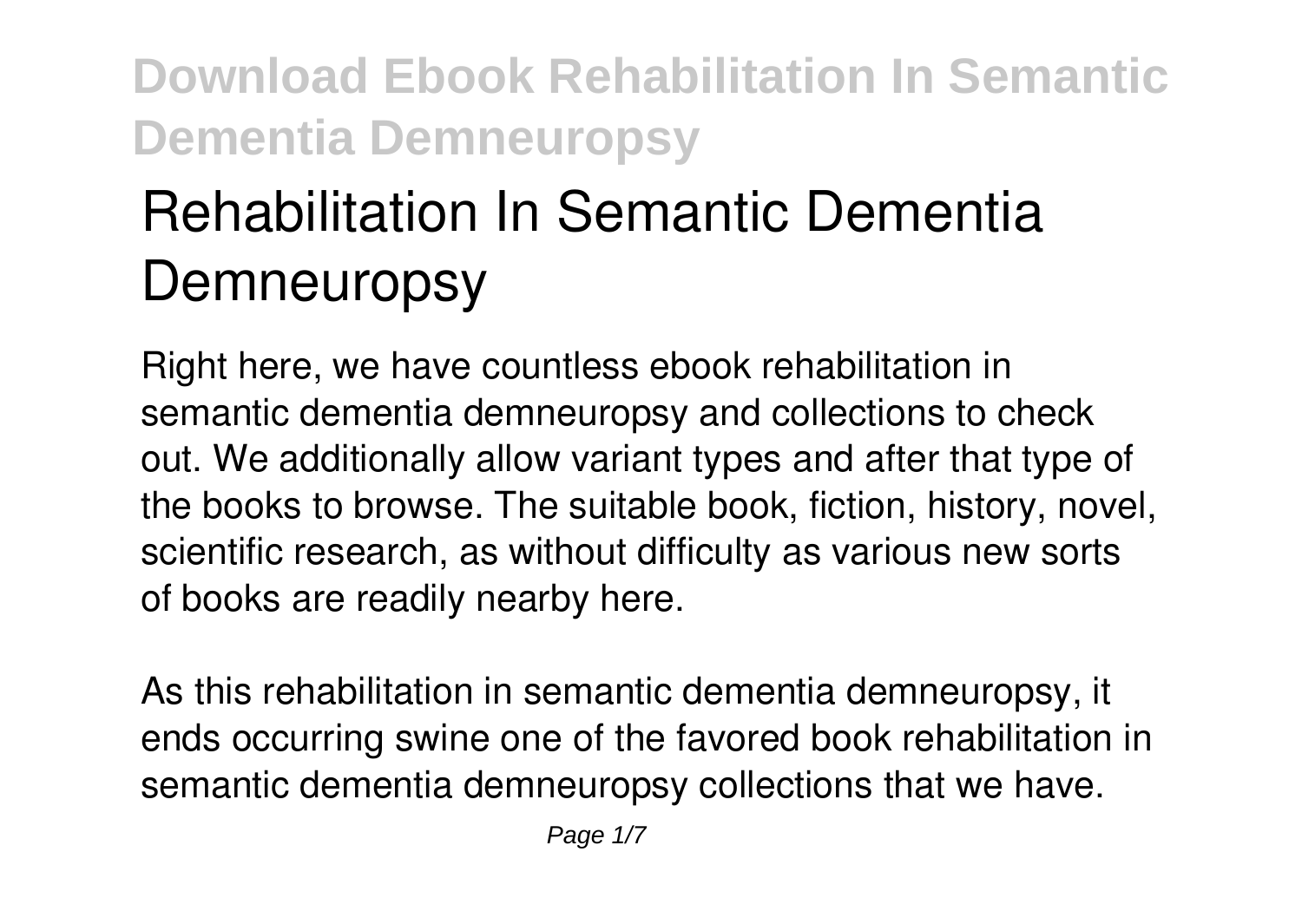# **Rehabilitation In Semantic Dementia Demneuropsy**

Right here, we have countless ebook **rehabilitation in semantic dementia demneuropsy** and collections to check out. We additionally allow variant types and after that type of the books to browse. The suitable book, fiction, history, novel, scientific research, as without difficulty as various new sorts of books are readily nearby here.

As this rehabilitation in semantic dementia demneuropsy, it ends occurring swine one of the favored book rehabilitation in semantic dementia demneuropsy collections that we have.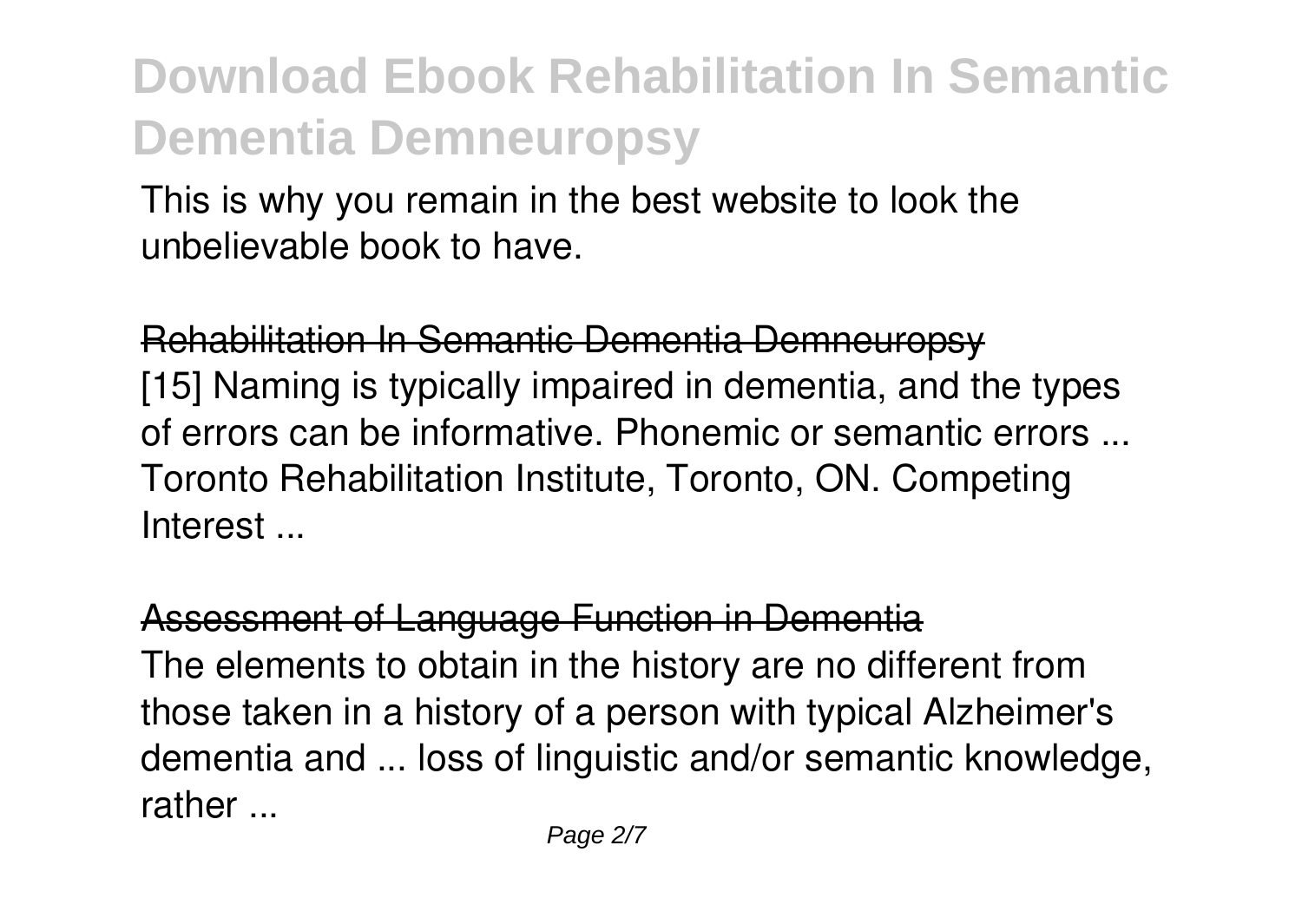This is why you remain in the best website to look the unbelievable book to have.

Rehabilitation In Semantic Dementia Demneuropsy [15] Naming is typically impaired in dementia, and the types of errors can be informative. Phonemic or semantic errors ... Toronto Rehabilitation Institute, Toronto, ON. Competing Interest ...

### Assessment of Language Function in Dementia

The elements to obtain in the history are no different from those taken in a history of a person with typical Alzheimer's dementia and ... loss of linguistic and/or semantic knowledge, rather ...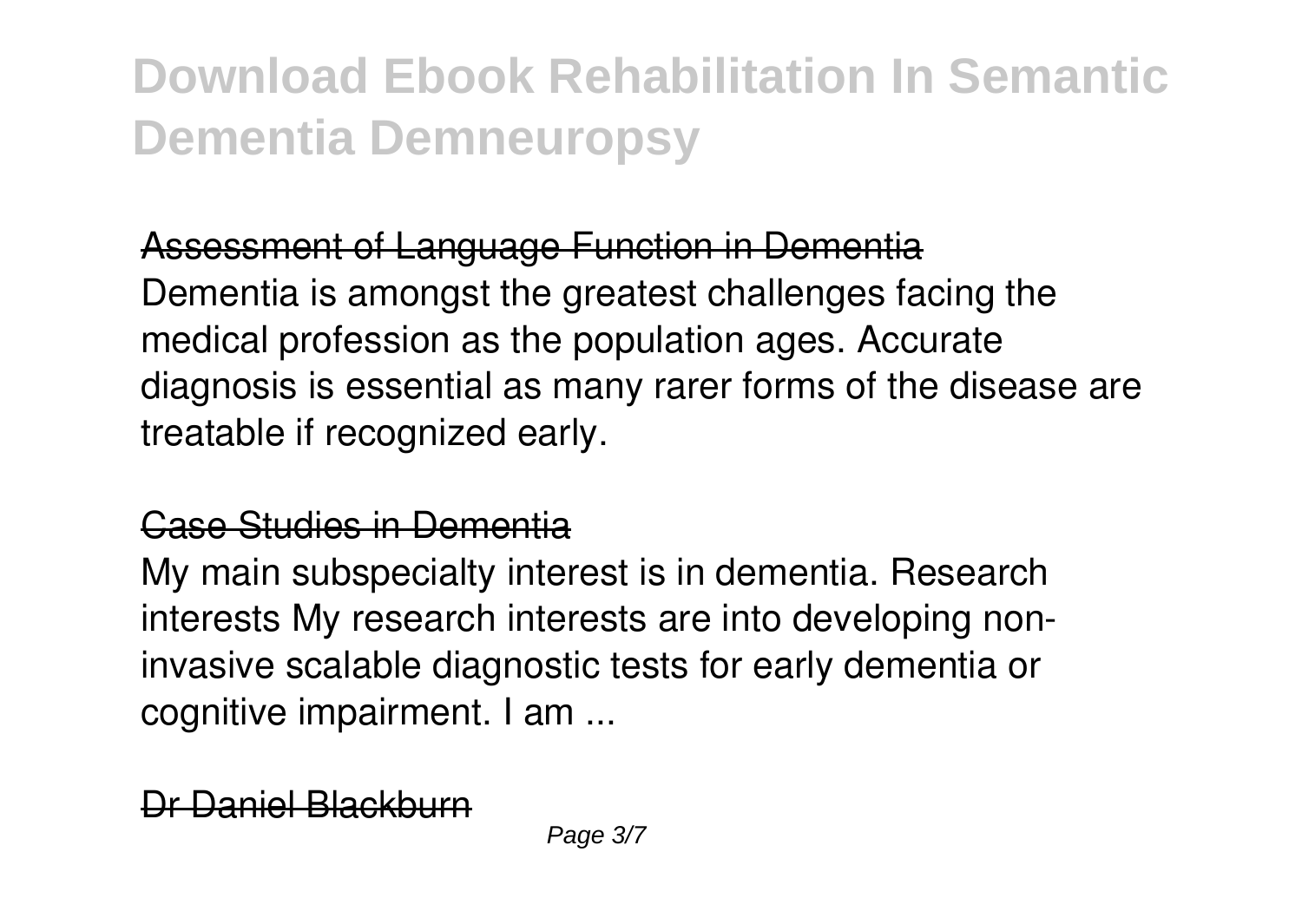### Assessment of Language Function in Dementia

Dementia is amongst the greatest challenges facing the medical profession as the population ages. Accurate diagnosis is essential as many rarer forms of the disease are treatable if recognized early.

### Case Studies in Dementia

My main subspecialty interest is in dementia. Research interests My research interests are into developing noninvasive scalable diagnostic tests for early dementia or cognitive impairment. I am ...

Daniel Blackburn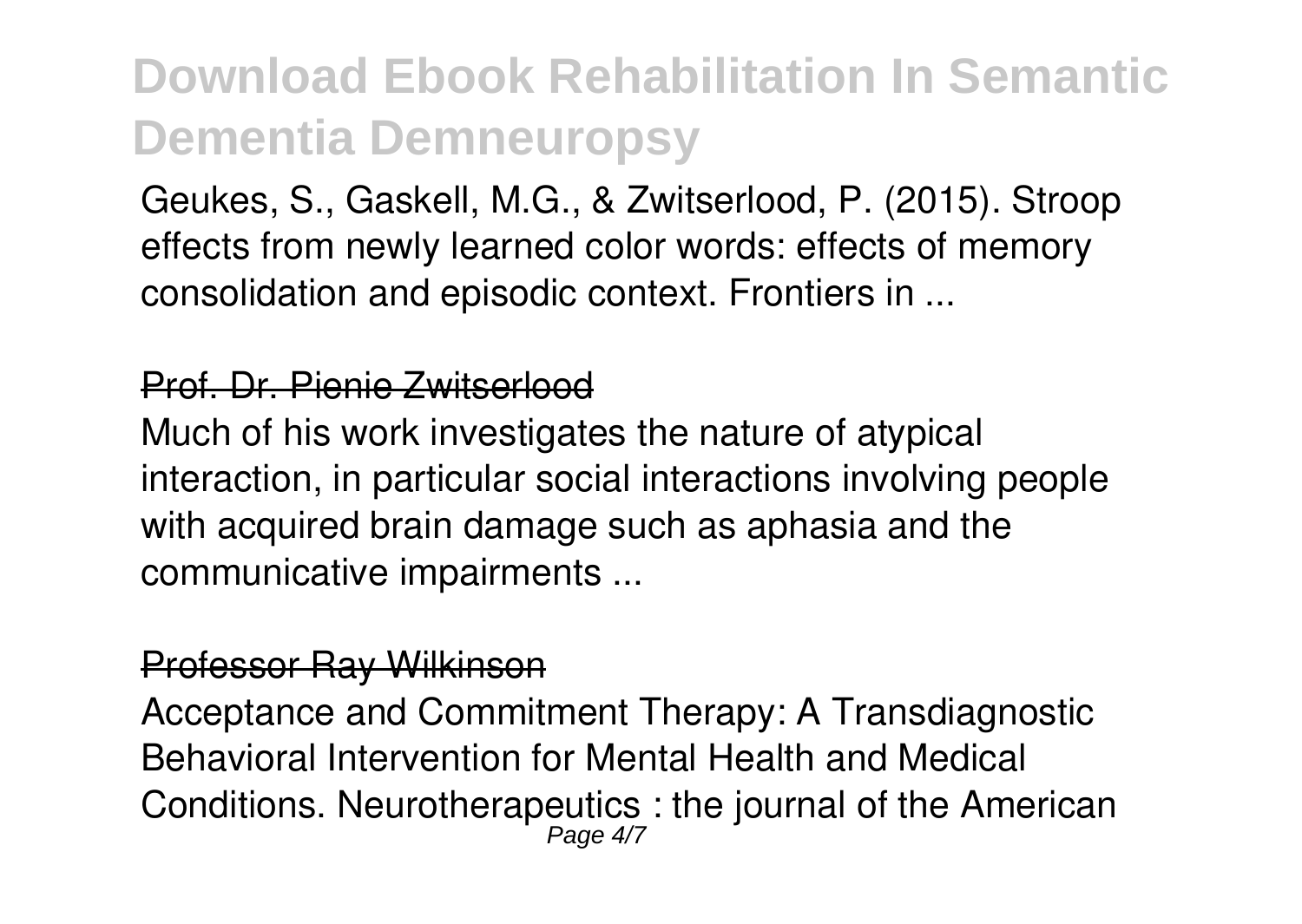Geukes, S., Gaskell, M.G., & Zwitserlood, P. (2015). Stroop effects from newly learned color words: effects of memory consolidation and episodic context. Frontiers in ...

#### Prof. Dr. Pienie Zwitserlood

Much of his work investigates the nature of atypical interaction, in particular social interactions involving people with acquired brain damage such as aphasia and the communicative impairments ...

#### Professor Ray Wilkinson

Acceptance and Commitment Therapy: A Transdiagnostic Behavioral Intervention for Mental Health and Medical Conditions. Neurotherapeutics : the journal of the American Page 4/7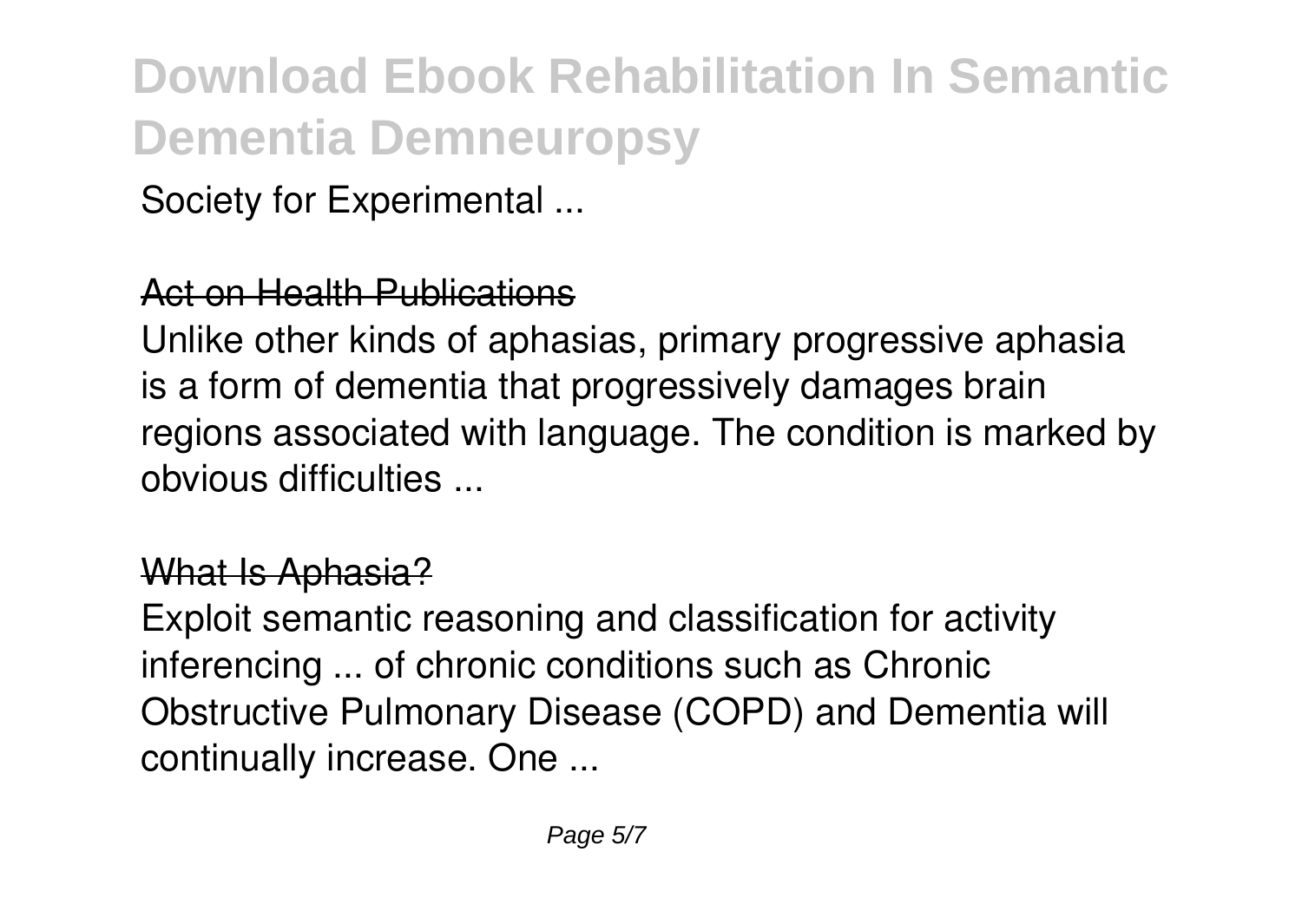Society for Experimental ...

### Act on Health Publications

Unlike other kinds of aphasias, primary progressive aphasia is a form of dementia that progressively damages brain regions associated with language. The condition is marked by obvious difficulties ...

### What Is Aphasia?

Exploit semantic reasoning and classification for activity inferencing ... of chronic conditions such as Chronic Obstructive Pulmonary Disease (COPD) and Dementia will continually increase. One ...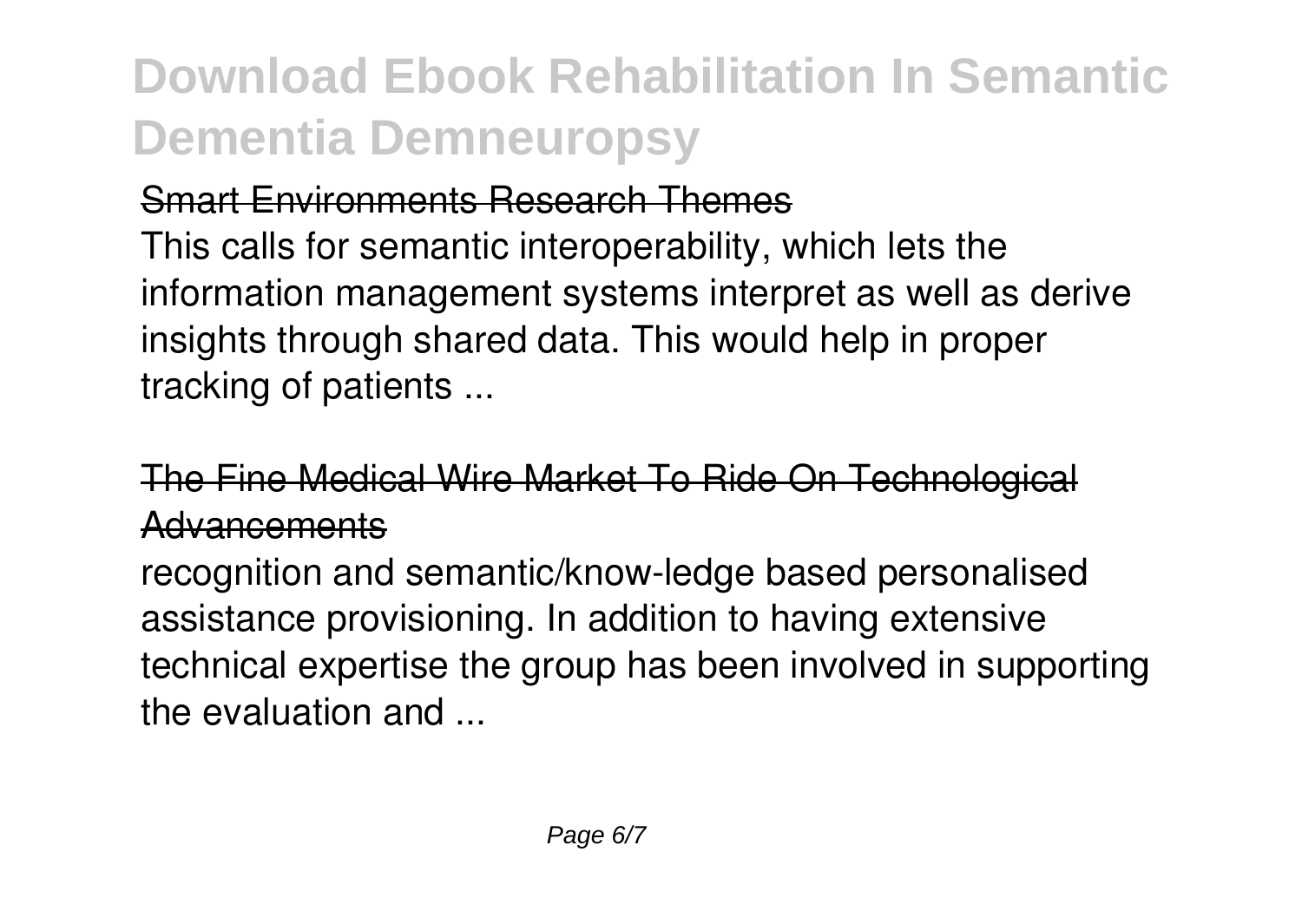### Smart Environments Research Themes

This calls for semantic interoperability, which lets the information management systems interpret as well as derive insights through shared data. This would help in proper tracking of patients ...

### The Fine Medical Wire Market To Ride On Technologica Advancements

recognition and semantic/know-ledge based personalised assistance provisioning. In addition to having extensive technical expertise the group has been involved in supporting the evaluation and ...